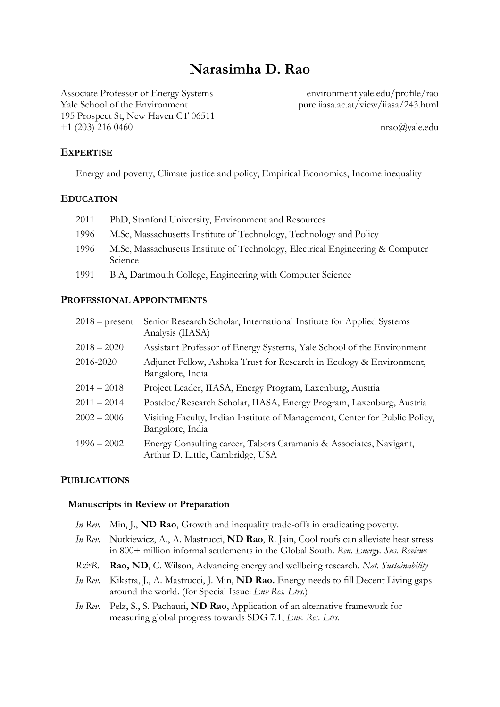# **Narasimha D. Rao**

Associate Professor of Energy Systems environment.yale.edu/profile/rao Yale School of the Environment pure.iiasa.ac.at/view/iiasa/243.html 195 Prospect St, New Haven CT 06511 +1 (203) 216 0460 nrao@yale.edu

# **EXPERTISE**

Energy and poverty, Climate justice and policy, Empirical Economics, Income inequality

### **EDUCATION**

| 2011 | PhD, Stanford University, Environment and Resources                                       |
|------|-------------------------------------------------------------------------------------------|
| 1996 | M.Sc, Massachusetts Institute of Technology, Technology and Policy                        |
| 1996 | M.Sc, Massachusetts Institute of Technology, Electrical Engineering & Computer<br>Science |
| 1991 | B.A, Dartmouth College, Engineering with Computer Science                                 |

# **PROFESSIONAL APPOINTMENTS**

| $2018$ – present | Senior Research Scholar, International Institute for Applied Systems<br>Analysis (IIASA)               |
|------------------|--------------------------------------------------------------------------------------------------------|
| $2018 - 2020$    | Assistant Professor of Energy Systems, Yale School of the Environment                                  |
| 2016-2020        | Adjunct Fellow, Ashoka Trust for Research in Ecology & Environment,<br>Bangalore, India                |
| $2014 - 2018$    | Project Leader, IIASA, Energy Program, Laxenburg, Austria                                              |
| $2011 - 2014$    | Postdoc/Research Scholar, IIASA, Energy Program, Laxenburg, Austria                                    |
| $2002 - 2006$    | Visiting Faculty, Indian Institute of Management, Center for Public Policy,<br>Bangalore, India        |
| $1996 - 2002$    | Energy Consulting career, Tabors Caramanis & Associates, Navigant,<br>Arthur D. Little, Cambridge, USA |

# **PUBLICATIONS**

#### **Manuscripts in Review or Preparation**

- *In Rev.* Min, J., **ND Rao**, Growth and inequality trade-offs in eradicating poverty.
- *In Rev.* Nutkiewicz, A., A. Mastrucci, **ND Rao**, R. Jain, Cool roofs can alleviate heat stress in 800+ million informal settlements in the Global South. *Ren. Energy. Sus. Reviews*
- *R&R.* **Rao, ND**, C. Wilson, Advancing energy and wellbeing research. *Nat. Sustainability*
- *In Rev.* Kikstra, J., A. Mastrucci, J. Min, **ND Rao.** Energy needs to fill Decent Living gaps around the world. (for Special Issue: *Env Res. Ltrs.*)
- *In Rev.* Pelz, S., S. Pachauri, **ND Rao**, Application of an alternative framework for measuring global progress towards SDG 7.1, *Env. Res. Ltrs.*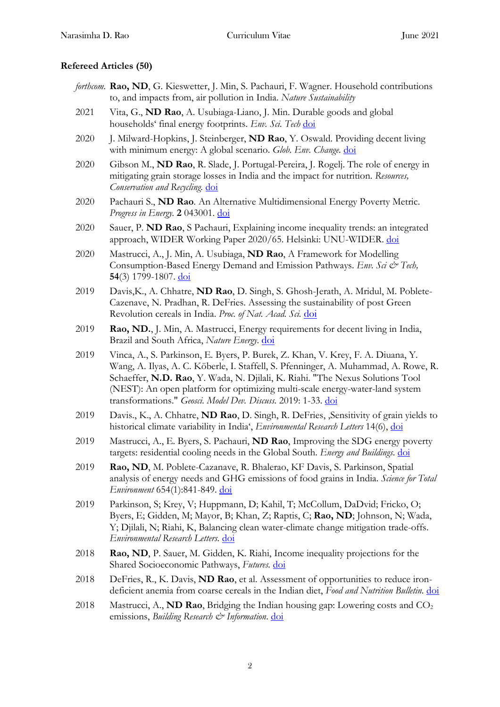# **Refereed Articles (50)**

- *forthcom.* **Rao, ND**, G. Kieswetter, J. Min, S. Pachauri, F. Wagner. Household contributions to, and impacts from, air pollution in India. *Nature Sustainability*
- 2021 Vita, G., **ND Rao**, A. Usubiaga-Liano, J. Min. Durable goods and global households' final energy footprints. *Env. Sci. Tech* [doi](https://dx.doi.org/10.1021/acs.est.0c03890)
- 2020 J. Milward-Hopkins, J. Steinberger, **ND Rao**, Y. Oswald. Providing decent living with minimum energy: A global scenario. *Glob. Env. Change.* [doi](https://doi.org/10.1016/j.gloenvcha.2020.102168)
- 2020 Gibson M., **ND Rao**, R. Slade, J. Portugal-Pereira, J. Rogelj. The role of energy in mitigating grain storage losses in India and the impact for nutrition. *Resources, Conservation and Recycling.* [doi](https://doi.org/10.1016/j.resconrec.2020.105100)
- 2020 Pachauri S., **ND Rao***.* An Alternative Multidimensional Energy Poverty Metric. *Progress in Energy.* **2** 043001. [doi](https://doi.org/10.1088/2516-1083/aba890)
- 2020 Sauer, P. **ND Rao**, S Pachauri, Explaining income inequality trends: an integrated approach, WIDER Working Paper 2020/65. Helsinki: UNU-WIDER. [doi](https://doi.org/10.35188/UNU-WIDER/2020/822-1)
- 2020 Mastrucci, A., J. Min, A. Usubiaga, **ND Rao**, A Framework for Modelling Consumption-Based Energy Demand and Emission Pathways. *Env. Sci & Tech,* **54**(3) 1799-1807. [doi](https://doi.org/10.1021/acs.est.9b05968)
- 2019 Davis,K., A. Chhatre, **ND Rao**, D. Singh, S. Ghosh-Jerath, A. Mridul, M. Poblete-Cazenave, N. Pradhan, R. DeFries. Assessing the sustainability of post Green Revolution cereals in India. *Proc. of Nat. Acad. Sci.* [doi](https://doi.org/10.1073/pnas.1910935116)
- 2019 **Rao, ND.**, J. Min, A. Mastrucci, Energy requirements for decent living in India, Brazil and South Africa, *Nature Energy*. [doi](https://doi.org/10.1038/s41560-019-0497-9)
- 2019 Vinca, A., S. Parkinson, E. Byers, P. Burek, Z. Khan, V. Krey, F. A. Diuana, Y. Wang, A. Ilyas, A. C. Köberle, I. Staffell, S. Pfenninger, A. Muhammad, A. Rowe, R. Schaeffer, **N.D. Rao**, Y. Wada, N. Djilali, K. Riahi. "The Nexus Solutions Tool (NEST): An open platform for optimizing multi-scale energy-water-land system transformations." *Geosci. Model Dev. Discuss.* 2019: 1-33. [doi](https://doi.org/10.5194/gmd-13-1095-2020)
- 2019 Davis., K., A. Chhatre, **ND Rao**, D. Singh, R. DeFries, 'Sensitivity of grain yields to historical climate variability in India', *Environmental Research Letters* 14(6), [doi](https://doi.org/10.1088/1748-9326/ab22db)
- 2019 Mastrucci, A., E. Byers, S. Pachauri, **ND Rao**, Improving the SDG energy poverty targets: residential cooling needs in the Global South. *Energy and Buildings*. [doi](https://doi.org/10.1016/j.enbuild.2019.01.015)
- 2019 **Rao, ND**, M. Poblete-Cazanave, R. Bhalerao, KF Davis, S. Parkinson, Spatial analysis of energy needs and GHG emissions of food grains in India. *Science for Total Environment* 654(1):841-849. [doi](https://doi.org/10.1016/j.scitotenv.2018.11.073)
- 2019 Parkinson, S; Krey, V; Huppmann, D; Kahil, T; McCollum, DaDvid; Fricko, O; Byers, E; Gidden, M; Mayor, B; Khan, Z; Raptis, C; **Rao, ND**; Johnson, N; Wada, Y; Djilali, N; Riahi, K, Balancing clean water-climate change mitigation trade-offs. *Environmental Research Letters.* [doi](https://doi.org/10.1088/1748-9326/aaf2a3)
- 2018 **Rao, ND**, P. Sauer, M. Gidden, K. Riahi, Income inequality projections for the Shared Socioeconomic Pathways, *Futures.* [doi](https://doi.org/10.1016/j.futures.2018.07.001)
- 2018 DeFries, R., K. Davis, **ND Rao**, et al. Assessment of opportunities to reduce irondeficient anemia from coarse cereals in the Indian diet, *Food and Nutrition Bulletin.* [doi](https://doi.org/10.1177/0379572118783492)
- 2018 Mastrucci, A., **ND Rao**, Bridging the Indian housing gap: Lowering costs and CO2 emissions, *Building Research & Information*. [doi](https://doi.org/10.1080/09613218.2018.1483634)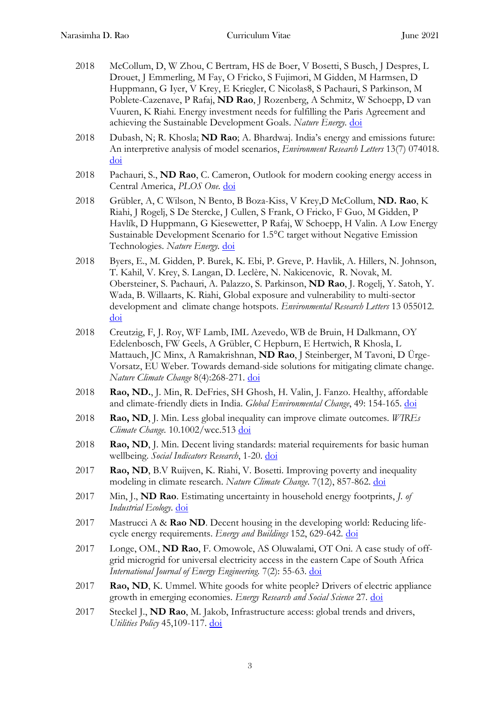- 2018 McCollum, D, W Zhou, C Bertram, HS de Boer, V Bosetti, S Busch, J Despres, L Drouet, J Emmerling, M Fay, O Fricko, S Fujimori, M Gidden, M Harmsen, D Huppmann, G Iyer, V Krey, E Kriegler, C Nicolas8, S Pachauri, S Parkinson, M Poblete-Cazenave, P Rafaj, **ND Rao**, J Rozenberg, A Schmitz, W Schoepp, D van Vuuren, K Riahi. Energy investment needs for fulfilling the Paris Agreement and achieving the Sustainable Development Goals. *Nature Energy.* [doi](https://doi.org/10.1038/s41560-018-0179-z)
- 2018 Dubash, N; R. Khosla; **ND Rao**; A. Bhardwaj. India's energy and emissions future: An interpretive analysis of model scenarios, *Environment Research Letters* 13(7) 074018. [doi](https://doi.org/10.1088/1748-9326/aacc74)
- 2018 Pachauri, S., **ND Rao**, C. Cameron, Outlook for modern cooking energy access in Central America, *PLOS One.* [doi](https://doi.org/10.1371/journal.pone.0197974)
- 2018 Grübler, A, C Wilson, N Bento, B Boza-Kiss, V Krey,D McCollum, **ND. Rao**, K Riahi, J Rogelj, S De Stercke, J Cullen, S Frank, O Fricko, F Guo, M Gidden, P Havlík, D Huppmann, G Kiesewetter, P Rafaj, W Schoepp, H Valin. A Low Energy Sustainable Development Scenario for 1.5°C target without Negative Emission Technologies. *Nature Energy.* [doi](https://doi.org/10.1038/s41560-018-0172-6)
- 2018 Byers, E., M. Gidden, P. Burek, K. Ebi, P. Greve, P. Havlik, A. Hillers, N. Johnson, T. Kahil, V. Krey, S. Langan, D. Leclère, N. Nakicenovic, R. Novak, M. Obersteiner, S. Pachauri, A. Palazzo, S. Parkinson, **ND Rao**, J. Rogelj, Y. Satoh, Y. Wada, B. Willaarts, K. Riahi, Global exposure and vulnerability to multi-sector development and climate change hotspots. *Environmental Research Letters* 13 055012. [doi](https://doi.org/10.1088/1748-9326/aabf45)
- 2018 Creutzig, F, J. Roy, WF Lamb, IML Azevedo, WB de Bruin, H Dalkmann, OY Edelenbosch, FW Geels, A Grübler, C Hepburn, E Hertwich, R Khosla, L Mattauch, JC Minx, A Ramakrishnan, **ND Rao**, J Steinberger, M Tavoni, D Ürge-Vorsatz, EU Weber. Towards demand-side solutions for mitigating climate change. *Nature Climate Change* 8(4):268-271. [doi](https://doi.org/10.1038/s41558-018-0121-1)
- 2018 **Rao, ND.**, J. Min, R. DeFries, SH Ghosh, H. Valin, J. Fanzo. Healthy, affordable and climate-friendly diets in India. *Global Environmental Change*, 49: 154-165. [doi](https://doi.org/10.1016/j.gloenvcha.2018.02.013)
- 2018 **Rao, ND**, J. Min. Less global inequality can improve climate outcomes. *WIREs Climate Change.* 10.1002/wcc.513 [doi](https://doi.org/10.1002/wcc.513)
- 2018 **Rao, ND**, J. Min. Decent living standards: material requirements for basic human wellbeing. *Social Indicators Research*, 1-20. [doi](http://10.0.3.239/s11205-017-1650-0)
- 2017 **Rao, ND**, B.V Ruijven, K. Riahi, V. Bosetti. Improving poverty and inequality modeling in climate research. *Nature Climate Change*. 7(12), 857-862. [doi](https://www.nature.com/articles/s41558-017-0004-x)
- 2017 Min, J., **ND Rao**. Estimating uncertainty in household energy footprints, *J. of Industrial Ecology*. [doi](http://onlinelibrary.wiley.com/doi/10.1111/jiec.12670/full)
- 2017 Mastrucci A & **Rao ND**. Decent housing in the developing world: Reducing lifecycle energy requirements. *Energy and Buildings* 152, 629-642. [doi](https://10.0.3.248/j.enbuild.2017.07.072)
- 2017 Longe, OM., **ND Rao**, F. Omowole, AS Oluwalami, OT Oni. A case study of offgrid microgrid for universal electricity access in the eastern Cape of South Africa *International Journal of Energy Engineering*. 7(2): 55-63. [doi](http://10.0.23.35/j.ijee.20170702.03)
- 2017 **Rao, ND**, K. Ummel. White goods for white people? Drivers of electric appliance growth in emerging economies. *Energy Research and Social Science* 27*.* [doi](http://dx.doi.org/10.1016/j.erss.2017.03.005)
- 2017Steckel J., **ND Rao**, M. Jakob, Infrastructure access: global trends and drivers, *Utilities Policy* 45,109-117. [doi](http://dx.doi.org/10.1016/j.jup.2017.03.001)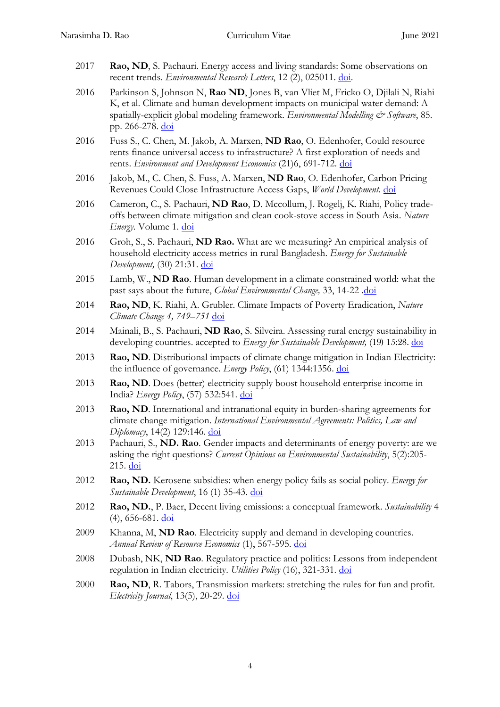- 2017 **Rao, ND**, S. Pachauri. Energy access and living standards: Some observations on recent trends. *Environmental Research Letters*, 12 (2), 025011. [doi.](https://doi.org/10.1088/1748-9326/aa5b0d)
- 2016 Parkinson S, Johnson N, **Rao ND**, Jones B, van Vliet M, Fricko O, Djilali N, Riahi K, et al. Climate and human development impacts on municipal water demand: A spatially-explicit global modeling framework. *Environmental Modelling & Software*, 85. pp. 266-278. [doi](http://dx.doi.org/10.1016/j.envsoft.2016.08.002)
- 2016 Fuss S., C. Chen, M. Jakob, A. Marxen, **ND Rao**, O. Edenhofer, Could resource rents finance universal access to infrastructure? A first exploration of needs and rents. *Environment and Development Economics* (21)6, 691-712. [doi](https://doi.org/10.1017/S1355770X16000139)
- 2016 Jakob, M., C. Chen, S. Fuss, A. Marxen, **ND Rao**, O. Edenhofer, Carbon Pricing Revenues Could Close Infrastructure Access Gaps, *World Development*. [doi](http://dx.doi.org/10.1016/j.worlddev.2016.03.001)
- 2016 Cameron, C., S. Pachauri, **ND Rao**, D. Mccollum, J. Rogelj, K. Riahi, Policy tradeoffs between climate mitigation and clean cook-stove access in South Asia. *Nature Energy.* Volume 1. [doi](http://10.0.4.14/nenergy.2015.10)
- 2016 Groh, S., S. Pachauri, **ND Rao.** What are we measuring? An empirical analysis of household electricity access metrics in rural Bangladesh. *Energy for Sustainable Development,* (30) 21:31. [doi](http://10.0.3.248/j.esd.2015.10.007)
- 2015 Lamb, W., **ND Rao**. Human development in a climate constrained world: what the past says about the future, *Global Environmental Change,* 33, 14-22 *.*[doi](http://dx.doi.org/10.1016/j.gloenvcha.2015.03.010)
- 2014 **Rao, ND**, K. Riahi, A. Grubler. Climate Impacts of Poverty Eradication, *Nature Climate Change 4, 749–751* [doi](http://dx.doi.org/10.1038/nclimate2340)
- 2014 Mainali, B., S. Pachauri, **ND Rao**, S. Silveira. Assessing rural energy sustainability in developing countries. accepted to *Energy for Sustainable Development,* (19) 15:28. [doi](http://dx.doi.org/10.1016/j.esd.2014.01.008)
- 2013 **Rao, ND**. Distributional impacts of climate change mitigation in Indian Electricity: the influence of governance. *Energy Policy*, (61) 1344:1356. [doi](http://dx.doi.org/10.1016/j.enpol.2013.05.103)
- 2013 **Rao, ND**. Does (better) electricity supply boost household enterprise income in India? *Energy Policy*, (57) 532:541. [doi](http://dx.doi.org/10.1016/j.enpol.2013.02.025)
- 2013 **Rao, ND**. International and intranational equity in burden-sharing agreements for climate change mitigation. *International Environmental Agreements: Politics, Law and Diplomacy*, 14(2) 129:146. **[doi](http://dx.doi.org/10.1007/s10784-013-9212-7)**
- 2013 Pachauri, S., **ND. Rao**. Gender impacts and determinants of energy poverty: are we asking the right questions? *Current Opinions on Environmental Sustainability*, 5(2):205- 215. [doi](http://dx.doi.org/10.1016/j.cosust.2013.04.006)
- 2012 **Rao, ND.** Kerosene subsidies: when energy policy fails as social policy. *Energy for Sustainable Development*, 16 (1) 35-43. [doi](http://dx.doi.org/10.1016/j.esd.2011.12.007)
- 2012 **Rao, ND.**, P. Baer, Decent living emissions: a conceptual framework. *Sustainability* 4  $(4)$ , 656-681. [doi](http://dx.doi.org/10.3390/su4040656)
- 2009 Khanna, M, **ND Rao**. Electricity supply and demand in developing countries. *Annual Review of Resource Economics* (1), 567-595. [doi](http://dx.doi.org/10.1146/annurev.resource.050708.144230)
- 2008 Dubash, NK, **ND Rao**. Regulatory practice and politics: Lessons from independent regulation in Indian electricity. *Utilities Policy* (16), 321-331. [doi](http://dx.doi.org/10.1016/j.jup.2007.11.008)
- 2000 **Rao, ND**, R. Tabors, Transmission markets: stretching the rules for fun and profit. *Electricity Journal*, 13(5), 20-29. [doi](http://dx.doi.org/10.1016/S1040-6190(00)00119-6)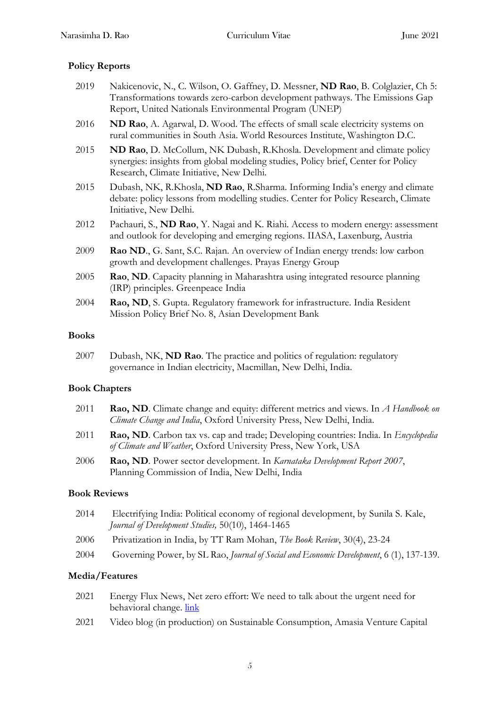# **Policy Reports**

- 2019 Nakicenovic, N., C. Wilson, O. Gaffney, D. Messner, **ND Rao**, B. Colglazier, Ch 5: Transformations towards zero-carbon development pathways. The Emissions Gap Report, United Nationals Environmental Program (UNEP)
- 2016 **ND Rao**, A. Agarwal, D. Wood. The effects of small scale electricity systems on rural communities in South Asia. World Resources Institute, Washington D.C.
- 2015 **ND Rao**, D. McCollum, NK Dubash, R.Khosla. Development and climate policy synergies: insights from global modeling studies, Policy brief, Center for Policy Research, Climate Initiative, New Delhi.
- 2015 Dubash, NK, R.Khosla, **ND Rao**, R.Sharma. Informing India's energy and climate debate: policy lessons from modelling studies. Center for Policy Research, Climate Initiative, New Delhi.
- 2012 Pachauri, S., **ND Rao**, Y. Nagai and K. Riahi. Access to modern energy: assessment and outlook for developing and emerging regions. IIASA, Laxenburg, Austria
- 2009 **Rao ND**., G. Sant, S.C. Rajan. An overview of Indian energy trends: low carbon growth and development challenges. Prayas Energy Group
- 2005 **Rao**, **ND**. Capacity planning in Maharashtra using integrated resource planning (IRP) principles. Greenpeace India
- 2004 **Rao, ND**, S. Gupta. Regulatory framework for infrastructure. India Resident Mission Policy Brief No. 8, Asian Development Bank

# **Books**

2007 Dubash, NK, **ND Rao**. The practice and politics of regulation: regulatory governance in Indian electricity, Macmillan, New Delhi, India.

# **Book Chapters**

- 2011 **Rao, ND**. Climate change and equity: different metrics and views. In *A Handbook on Climate Change and India*, Oxford University Press, New Delhi, India.
- 2011 **Rao, ND**. Carbon tax vs. cap and trade; Developing countries: India. In *Encyclopedia of Climate and Weather*, Oxford University Press, New York, USA
- 2006 **Rao, ND**. Power sector development. In *Karnataka Development Report 2007*, Planning Commission of India, New Delhi, India

# **Book Reviews**

- 2014 Electrifying India: Political economy of regional development, by Sunila S. Kale, *Journal of Development Studies,* 50(10), 1464-1465
- 2006 Privatization in India, by TT Ram Mohan, *The Book Review*, 30(4), 23-24
- 2004 Governing Power, by SL Rao, *Journal of Social and Economic Development*, 6 (1), 137-139.

# **Media/Features**

- 2021 Energy Flux News, Net zero effort: We need to talk about the urgent need for behavioral change. [link](https://www.energyflux.news/p/net-zero-effort-we-need-to-talk-about)
- 2021 Video blog (in production) on Sustainable Consumption, Amasia Venture Capital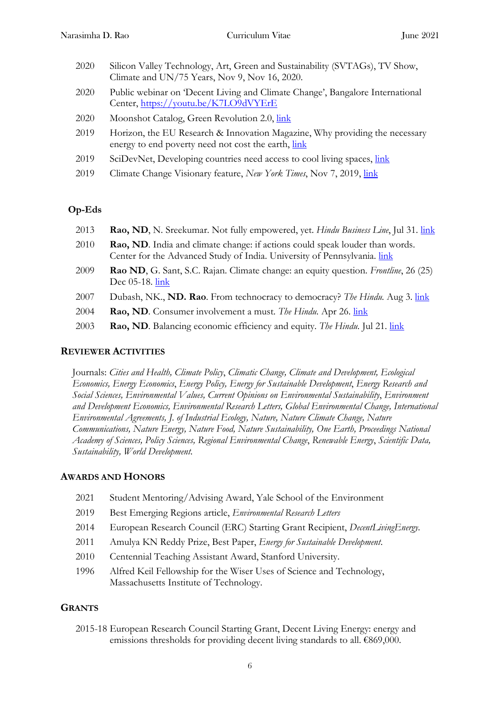- 2020 Silicon Valley Technology, Art, Green and Sustainability (SVTAGs), TV Show, Climate and UN/75 Years, Nov 9, Nov 16, 2020.
- 2020 Public webinar on 'Decent Living and Climate Change', Bangalore International Center, <https://youtu.be/K7LO9dVYErE>
- 2020 Moonshot Catalog, Green Revolution 2.0, [link](https://medium.com/the-moonshot-catalog/green-revolution-2-0-60d139be9320)
- 2019 Horizon, the EU Research & Innovation Magazine, Why providing the necessary energy to end poverty need not cost the earth, [link](https://horizon-magazine.eu/article/why-providing-necessary-energy-end-poverty-need-not-cost-earth.html)
- 2019 SciDevNet, Developing countries need access to cool living spaces, [link](https://www.scidev.net/asia-pacific/energy/news/developing-countries-need-access-to-cool-living-spaces.html?__cf_chl_jschl_tk__=e80a9c9b03ba2d6ffa4aebaeba5d08dea7f74c46-1585231436-0-AT-_rZEk6yjao1KY0YwyE4nRPVnS6SdLI_t4QvLqlXf4Plusmg42J-8VoSgWKmTGJxYFeFiaDMSUo2jlUE4iFak0AfT3EWPUgdFVyCnkzHM0M7zmGGm4XsDU6L7Fw2AZc_xGtbbwZmcj5i_SJeF6wELE_XmMZdjM3mvnrBZ5tUf93WZJLqEcVDLBAZxU8oFuXGpo7_xZ6PW3dsGFWQexGLmp5jFnVR99Nt_dZDxtR6nA4ABwcnNrYR2Cf8FAs_KuNxX2FmIRpl4YtksfDnbt84kFfHDU5gW8iT3ucFqW7ScACzntdSz1bWe2FbDVn3QauWxEvrbeAHixpvjUjjIT4W-AUWX2v0BxOG6uVZuzK3R3QUys1-ZnFJ5bwNQRkNrNEw)
- 2019 Climate Change Visionary feature, *New York Times*, Nov 7, 2019, [link](https://www.nytimes.com/2019/11/07/climate/narasimha-rao-climate-change.html)

### **Op-Eds**

- 2013 **Rao, ND**, N. Sreekumar. Not fully empowered, yet. *Hindu Business Line*, Jul 31. [link](http://www.thehindubusinessline.com/opinion/not-fully-empowered-yet/article4974395.ece)
- 2010 **Rao, ND**. India and climate change: if actions could speak louder than words. Center for the Advanced Study of India. University of Pennsylvania. [link](http://casi.sas.upenn.edu/iit/rao)
- 2009 **Rao ND**, G. Sant, S.C. Rajan. Climate change: an equity question. *Frontline*, 26 (25) Dec 05-18. [link](http://www.frontline.in/static/html/fl2625/stories/20091218262503700.htm)
- 2007 Dubash, NK., **ND. Rao**. From technocracy to democracy? *The Hindu*. Aug 3. [link](http://www.thehindu.com/todays-paper/tp-opinion/from-technocracy-to-democracy/article1884636.ece)
- 2004 **Rao, ND**. Consumer involvement a must. *The Hindu.* Apr 26. [link](http://www.hindu.com/biz/2004/04/26/stories/2004042600471600.htm)
- 2003 **Rao, ND**. Balancing economic efficiency and equity. *The Hindu.* Jul 21. [link](http://www.hindu.com/biz/2003/07/21/stories/2003072100060200.htm)

### **REVIEWER ACTIVITIES**

Journals: *Cities and Health, Climate Policy*, *Climatic Change, Climate and Development, Ecological Economics, Energy Economics*, *Energy Policy, Energy for Sustainable Development*, *Energy Research and Social Sciences, Environmental Values, Current Opinions on Environmental Sustainability*, *Environment and Development Economics, Environmental Research Letters, Global Environmental Change, International Environmental Agreements, J. of Industrial Ecology, Nature, Nature Climate Change, Nature Communications, Nature Energy, Nature Food, Nature Sustainability, One Earth, Proceedings National Academy of Sciences, Policy Sciences, Regional Environmental Change*, *Renewable Energy*, *Scientific Data, Sustainability, World Development.*

### **AWARDS AND HONORS**

- 2021 Student Mentoring/Advising Award, Yale School of the Environment
- 2019 Best Emerging Regions article, *Environmental Research Letters*
- 2014 European Research Council (ERC) Starting Grant Recipient, *DecentLivingEnergy*.
- 2011 Amulya KN Reddy Prize, Best Paper, *Energy for Sustainable Development*.
- 2010 Centennial Teaching Assistant Award, Stanford University.
- 1996 Alfred Keil Fellowship for the Wiser Uses of Science and Technology, Massachusetts Institute of Technology.

#### **GRANTS**

2015-18 European Research Council Starting Grant, Decent Living Energy: energy and emissions thresholds for providing decent living standards to all. €869,000.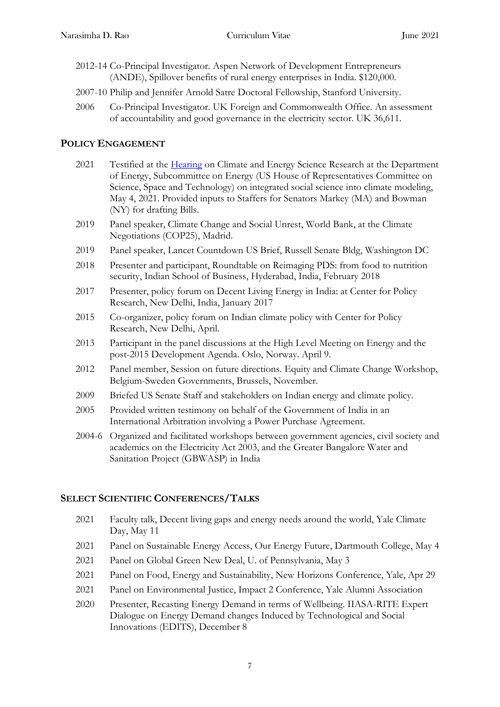- 2012-14 Co-Principal Investigator. Aspen Network of Development Entrepreneurs (ANDE), Spillover benefits of rural energy enterprises in India. \$120,000.
- 2007-10 Philip and Jennifer Arnold Satre Doctoral Fellowship, Stanford University.
- 2006 Co-Principal Investigator. UK Foreign and Commonwealth Office. An assessment of accountability and good governance in the electricity sector. UK 36,611.

# **POLICY ENGAGEMENT**

- 2021 Testified at the **[Hearing](https://science.house.gov/hearings/climate-and-energy-science-research-at-the-department-of-energy)** on Climate and Energy Science Research at the Department of Energy, Subcommittee on Energy (US House of Representatives Committee on Science, Space and Technology) on integrated social science into climate modeling, May 4, 2021. Provided inputs to Staffers for Senators Markey (MA) and Bowman (NY) for drafting Bills.
- 2019 Panel speaker, Climate Change and Social Unrest, World Bank, at the Climate Negotiations (COP25), Madrid.
- 2019 Panel speaker, Lancet Countdown US Brief, Russell Senate Bldg, Washington DC
- 2018 Presenter and participant, Roundtable on Reimaging PDS: from food to nutrition security, Indian School of Business, Hyderabad, India, February 2018
- 2017 Presenter, policy forum on Decent Living Energy in India: at Center for Policy Research, New Delhi, India, January 2017
- 2015 Co-organizer, policy forum on Indian climate policy with Center for Policy Research, New Delhi, April.
- 2013 Participant in the panel discussions at the High Level Meeting on Energy and the post-2015 Development Agenda. Oslo, Norway. April 9.
- 2012 Panel member, Session on future directions. Equity and Climate Change Workshop, Belgium-Sweden Governments, Brussels, November.
- 2009 Briefed US Senate Staff and stakeholders on Indian energy and climate policy.
- 2005 Provided written testimony on behalf of the Government of India in an International Arbitration involving a Power Purchase Agreement.
- 2004-6 Organized and facilitated workshops between government agencies, civil society and academics on the Electricity Act 2003, and the Greater Bangalore Water and Sanitation Project (GBWASP) in India

# **SELECT SCIENTIFIC CONFERENCES/TALKS**

- 2021 Faculty talk, Decent living gaps and energy needs around the world, Yale Climate Day, May 11
- 2021 Panel on Sustainable Energy Access, Our Energy Future, Dartmouth College, May 4
- 2021 Panel on Global Green New Deal, U. of Pennsylvania, May 3
- 2021 Panel on Food, Energy and Sustainability, New Horizons Conference, Yale, Apr 29
- 2021 Panel on Environmental Justice, Impact 2 Conference, Yale Alumni Association
- 2020 Presenter, Recasting Energy Demand in terms of Wellbeing. IIASA-RITE Expert Dialogue on Energy Demand changes Induced by Technological and Social Innovations (EDITS), December 8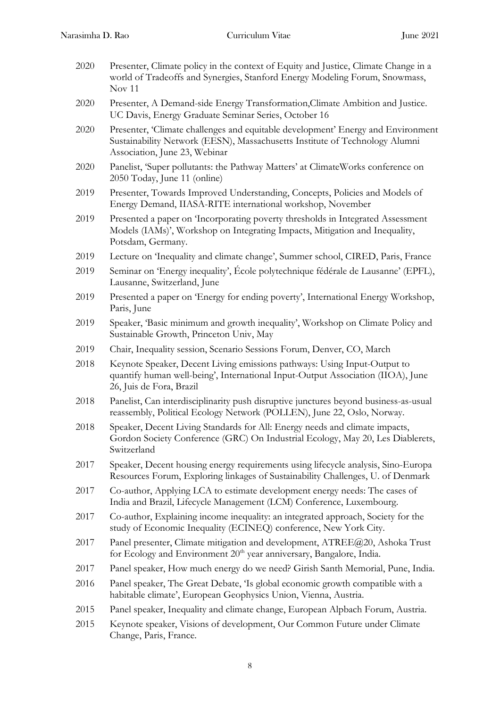- 2020 Presenter, Climate policy in the context of Equity and Justice, Climate Change in a world of Tradeoffs and Synergies, Stanford Energy Modeling Forum, Snowmass, Nov 11
- 2020 Presenter, A Demand-side Energy Transformation,Climate Ambition and Justice. UC Davis, Energy Graduate Seminar Series, October 16
- 2020 Presenter, 'Climate challenges and equitable development' Energy and Environment Sustainability Network (EESN), Massachusetts Institute of Technology Alumni Association, June 23, Webinar
- 2020 Panelist, 'Super pollutants: the Pathway Matters' at ClimateWorks conference on 2050 Today, June 11 (online)
- 2019 Presenter, Towards Improved Understanding, Concepts, Policies and Models of Energy Demand, IIASA-RITE international workshop, November
- 2019 Presented a paper on 'Incorporating poverty thresholds in Integrated Assessment Models (IAMs)', Workshop on Integrating Impacts, Mitigation and Inequality, Potsdam, Germany.
- 2019 Lecture on 'Inequality and climate change', Summer school, CIRED, Paris, France
- 2019 Seminar on 'Energy inequality', École polytechnique fédérale de Lausanne' (EPFL), Lausanne, Switzerland, June
- 2019 Presented a paper on 'Energy for ending poverty', International Energy Workshop, Paris, June
- 2019 Speaker, 'Basic minimum and growth inequality', Workshop on Climate Policy and Sustainable Growth, Princeton Univ, May
- 2019 Chair, Inequality session, Scenario Sessions Forum, Denver, CO, March
- 2018 Keynote Speaker, Decent Living emissions pathways: Using Input-Output to quantify human well-being', International Input-Output Association (IIOA), June 26, Juis de Fora, Brazil
- 2018 Panelist, Can interdisciplinarity push disruptive junctures beyond business-as-usual reassembly, Political Ecology Network (POLLEN), June 22, Oslo, Norway.
- 2018 Speaker, Decent Living Standards for All: Energy needs and climate impacts, Gordon Society Conference (GRC) On Industrial Ecology, May 20, Les Diablerets, Switzerland
- 2017 Speaker, Decent housing energy requirements using lifecycle analysis, Sino-Europa Resources Forum, Exploring linkages of Sustainability Challenges, U. of Denmark
- 2017 Co-author, Applying LCA to estimate development energy needs: The cases of India and Brazil, Lifecycle Management (LCM) Conference, Luxembourg.
- 2017 Co-author, Explaining income inequality: an integrated approach, Society for the study of Economic Inequality (ECINEQ) conference, New York City.
- 2017 Panel presenter, Climate mitigation and development, ATREE@20, Ashoka Trust for Ecology and Environment 20<sup>th</sup> year anniversary, Bangalore, India.
- 2017 Panel speaker, How much energy do we need? Girish Santh Memorial, Pune, India.
- 2016 Panel speaker, The Great Debate, 'Is global economic growth compatible with a habitable climate', European Geophysics Union, Vienna, Austria.
- 2015 Panel speaker, Inequality and climate change, European Alpbach Forum, Austria.
- 2015 Keynote speaker, Visions of development, Our Common Future under Climate Change, Paris, France.